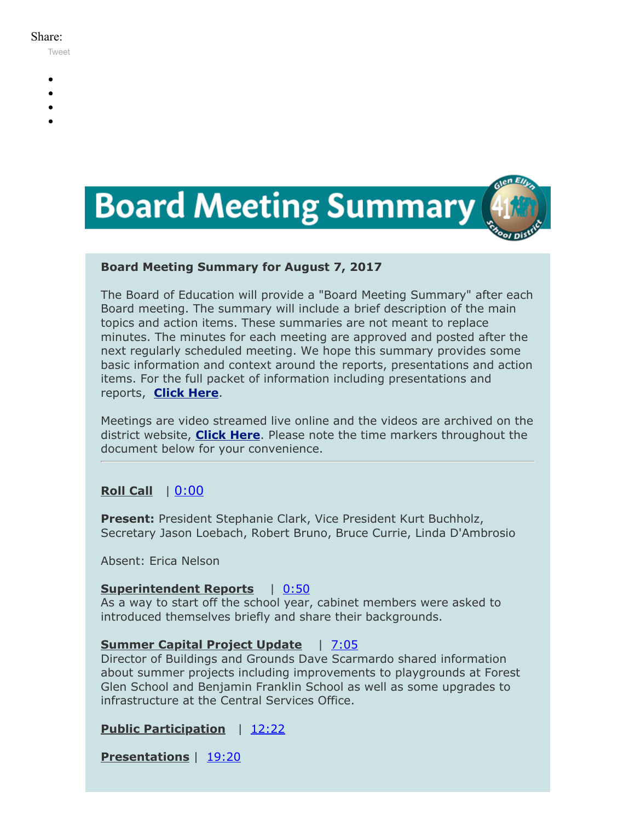#### Share:

[Tweet](https://twitter.com/intent/tweet?original_referer=https%3A%2F%2Fmyemail.constantcontact.com%2FBoard-Meeting-Summary-for-August-7--2017.html%3Fsoid%3D1102200973173%26aid%3DONuaxi7oU_o&ref_src=twsrc%5Etfw&text=Board%20Meeting%20Summary%20for%20August%207%2C%202017&tw_p=tweetbutton&url=https%3A%2F%2Fmyemail.constantcontact.com%2FBoard-Meeting-Summary-for-August-7--2017.html%3Fsoid%3D1102200973173%26aid%3DONuaxi7oU_o)

- -
- 
- 
- 



## **Board Meeting Summary for August 7, 2017**

The Board of Education will provide a "Board Meeting Summary" after each Board meeting. The summary will include a brief description of the main topics and action items. These summaries are not meant to replace minutes. The minutes for each meeting are approved and posted after the next regularly scheduled meeting. We hope this summary provides some basic information and context around the reports, presentations and action items. For the full packet of information including presentations and reports, **[Click Here](http://www.d41.org/domain/36)**.

Meetings are video streamed live online and the videos are archived on the district website, **[Click Here](http://www.d41.org/domain/463)**. Please note the time markers throughout the document below for your convenience.

# **Roll Call** |  $0:00$

**Present:** President Stephanie Clark, Vice President Kurt Buchholz, Secretary Jason Loebach, Robert Bruno, Bruce Currie, Linda D'Ambrosio

Absent: Erica Nelson

#### **Superintendent Reports** | [0:50](https://www.youtube.com/watch?v=zUF6RCSZxKs&t=0m55s)

As a way to start off the school year, cabinet members were asked to introduced themselves briefly and share their backgrounds.

#### **Summer Capital Project Update** | [7:05](https://www.youtube.com/watch?v=zUF6RCSZxKs&t=7m05s)

Director of Buildings and Grounds Dave Scarmardo shared information about summer projects including improvements to playgrounds at Forest Glen School and Benjamin Franklin School as well as some upgrades to infrastructure at the Central Services Office.

# **Public Participation** | [12:22](https://www.youtube.com/watch?v=zUF6RCSZxKs&t=12m22s)

**Presentations** | [19:20](https://www.youtube.com/watch?v=zUF6RCSZxKs&t=19m20s)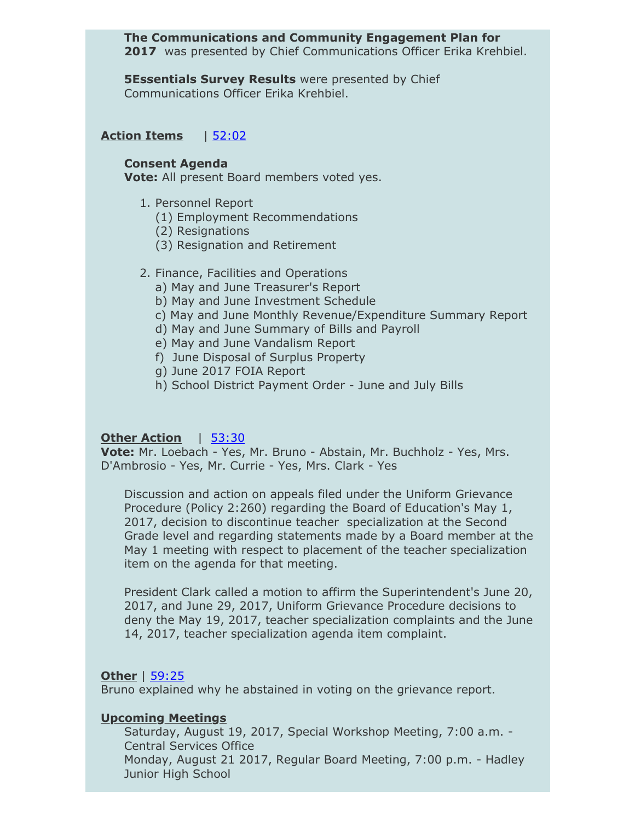### **The Communications and Community Engagement Plan for** 2017 was presented by Chief Communications Officer Erika Krehbiel.

**5Essentials Survey Results** were presented by Chief Communications Officer Erika Krehbiel.

# **Action Items** | [52:02](https://www.youtube.com/watch?v=zUF6RCSZxKs&t=52m02s)

#### **Consent Agenda**

**Vote:** All present Board members voted yes.

- 1. Personnel Report
	- (1) Employment Recommendations
	- (2) Resignations
	- (3) Resignation and Retirement
- 2. Finance, Facilities and Operations
	- a) May and June Treasurer's Report
	- b) May and June Investment Schedule
	- c) May and June Monthly Revenue/Expenditure Summary Report
	- d) May and June Summary of Bills and Payroll
	- e) May and June Vandalism Report
	- f) June Disposal of Surplus Property
	- g) June 2017 FOIA Report
	- h) School District Payment Order June and July Bills

# **Other Action** | [53:30](https://www.youtube.com/watch?v=zUF6RCSZxKs&t=53m30s)

**Vote:** Mr. Loebach - Yes, Mr. Bruno - Abstain, Mr. Buchholz - Yes, Mrs. D'Ambrosio - Yes, Mr. Currie - Yes, Mrs. Clark - Yes

Discussion and action on appeals filed under the Uniform Grievance Procedure (Policy 2:260) regarding the Board of Education's May 1, 2017, decision to discontinue teacher specialization at the Second Grade level and regarding statements made by a Board member at the May 1 meeting with respect to placement of the teacher specialization item on the agenda for that meeting.

President Clark called a motion to affirm the Superintendent's June 20, 2017, and June 29, 2017, Uniform Grievance Procedure decisions to deny the May 19, 2017, teacher specialization complaints and the June 14, 2017, teacher specialization agenda item complaint.

#### **Other** | [59:25](https://www.youtube.com/watch?v=zUF6RCSZxKs&t=59m25s)

Bruno explained why he abstained in voting on the grievance report.

# **Upcoming Meetings**

Saturday, August 19, 2017, Special Workshop Meeting, 7:00 a.m. - Central Services Office Monday, August 21 2017, Regular Board Meeting, 7:00 p.m. - Hadley Junior High School